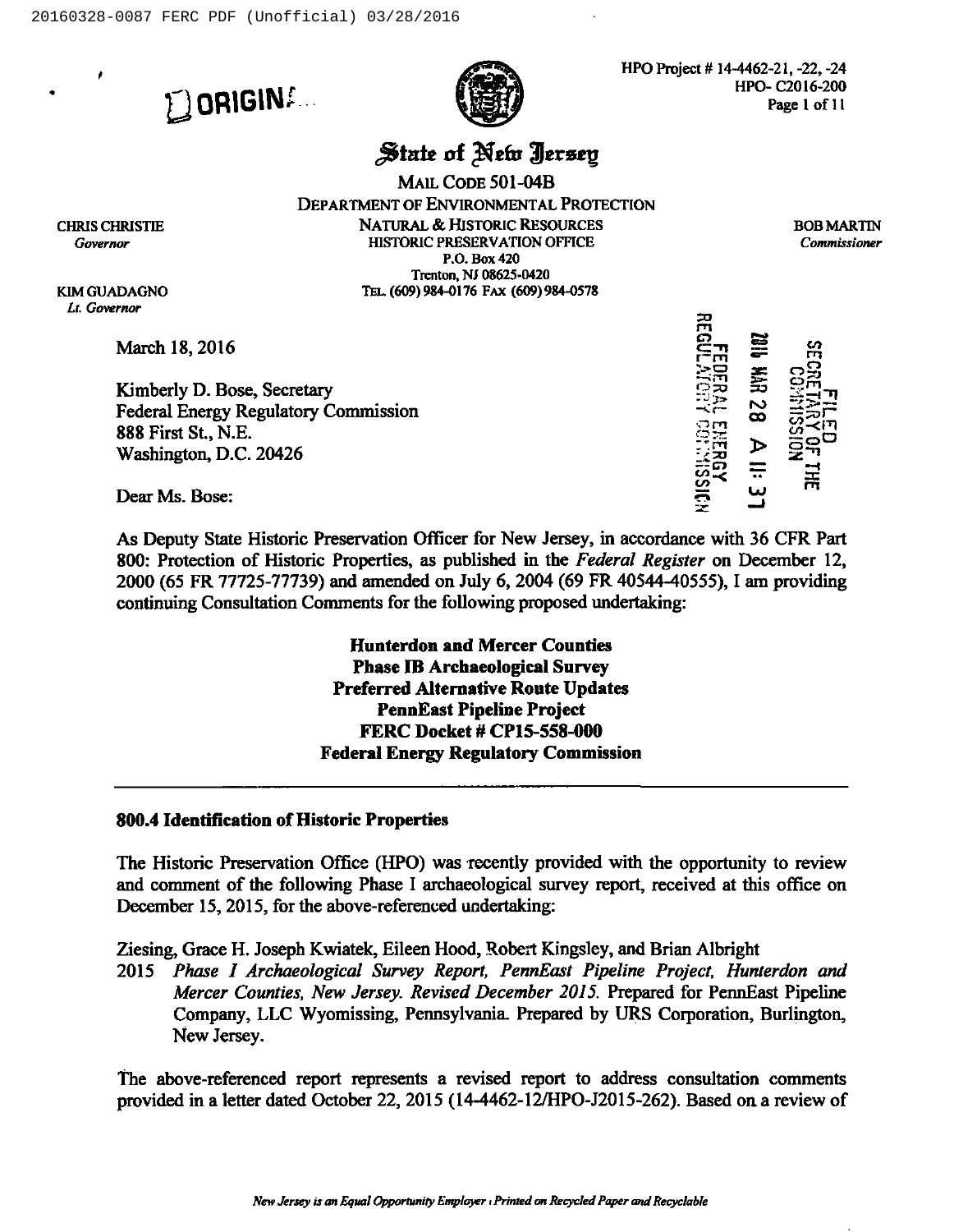**L**ORIGIN

HPO Project # 14-4462-21, -22, -24 HPO- C2016-200 Page I of 11

# State of New Jersey

MAIL CoDE 501-04B DEPARTMENT OF ENVIRONMENTAL PROTECTION NATURAL &.HISTORIC RESOURCES HISTORIC PRESERVATION OFHCE P.O. Box 420 Trenton, Nt 08625-0420 TEL. (609) 984-0176 FAX (609) 984-0578

BOBMARTIN Commissioner

CHRIS CHRISTIE Governor

KIM GUADAGNO Li. Governor

March 18, 2016

Kimberly D. Bose, Secretary Federal Energy Regulatory Commission 888 First St., N.E. Washington, D.C. 20426

r r-m : $\dot{\Xi}$  $\equiv$ Lr , <sup>~</sup> rut o  $\frac{1}{2}$  $\bm{\omega}$ بيا <u>بع</u> m c-:em /  $\Xi$ ິຕິ≃ຼີ SI-LIT<br>OH<br>OH rn

Dear Ms. Bose:

As Deputy State Historic Preservation Officer for New Jersey, in accordance with 36 CFR Part 800: Protection of Historic Properties, as published in the Federal Register on December 12, 2000 (65 FR 77725-77739) and amended on July 6, 2004 (69 FR 40544-40555), <sup>1</sup> am providing continuing Consultation Comments for the following proposed undertaking:

> Hunterdon and Mercer Counties Phase IB Archaeological Survey Preferred Alternative Route Updates PennEast Pipeline Project FERC Docket # CP15-558-000 Federal Energy Regulatory Commission

#### 800.4 Identification of Historic Properties

The Historic Preservation Office (HPO) was recently provided with the opportunity to review and comment of the following Phase <sup>1</sup> archaeological survey report, received at this office on December 15, 2015, for the above-referenced undertaking:

Ziesing, Grace H. Joseph Kwiatek, Eileen Hood, Robert Kingsley, and Brian Albright

2015 Phase 1 Archaeological Survey Report, PennEast Pipeline Project, Hunterdon and Mercer Counties, New Jersey. Revised December 2015. Prepared for PennEast Pipeline Company, LLC Wyomissing, Pennsylvania. Prepared by URS Corporation, Burlington, New Jersey.

The above-referenced report represents a revised report to address consultation comments provided in a letter dated October 22, 2015 (14-4462-12/HPO-J2015-262). Based on a review of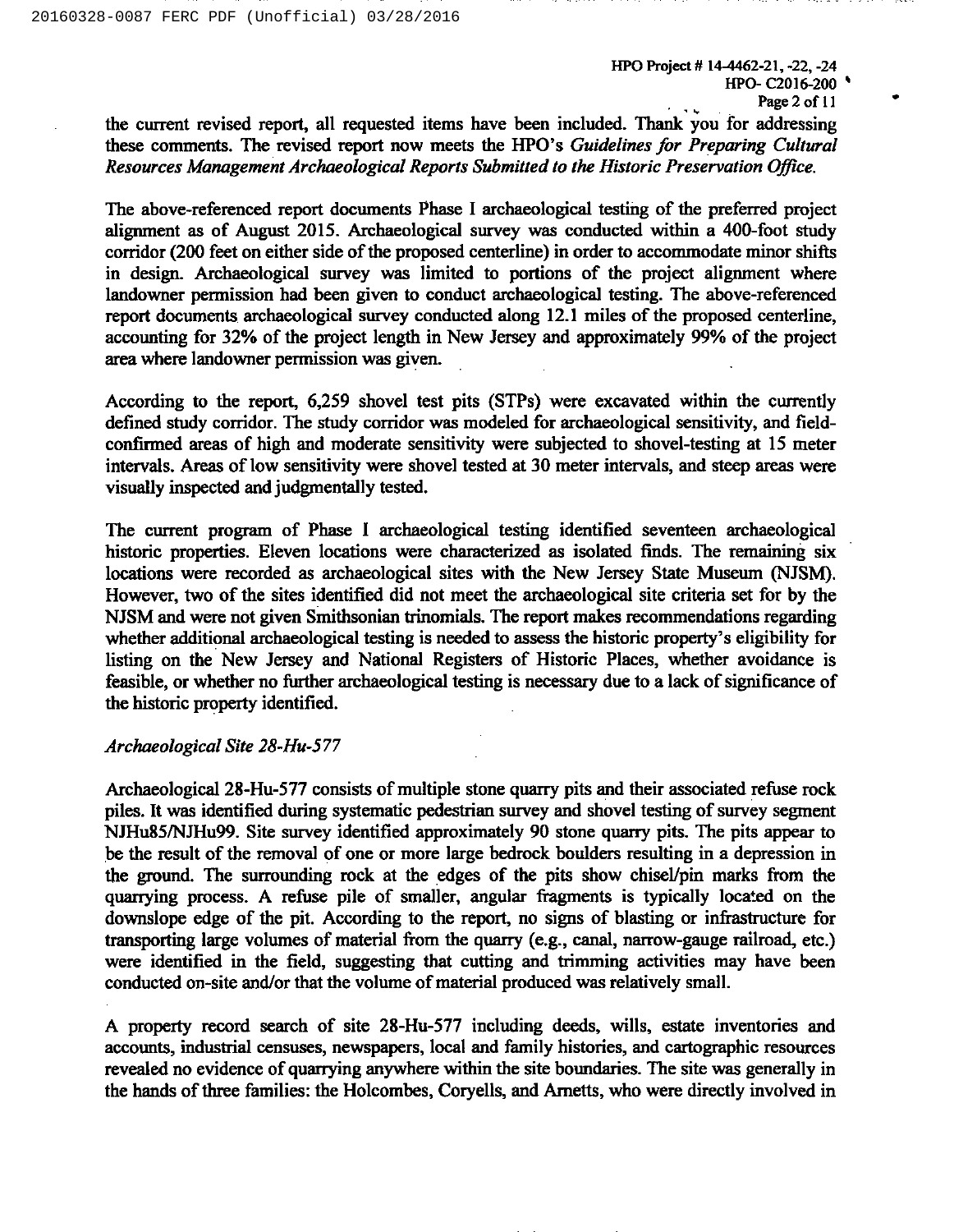HPO Project # 14-4462-21, -22, -24 HPO- C2016-200 <sup>~</sup> Page 2 of 11

the current revised report, all requested items have been included. Thank you for addressing these comments. The revised report now meets the HPO's Guidelines for Preparing Cultural Resources Management Archaeological Reports Submitted to the Historic Preservation Office.

The above-referenced report documents Phase I archaeological testing of the preferred project alignment as of August 2015. Archaeological survey was conducted within a 400-foot study corridor (200 feet on either side of the proposed centerline) in order to accommodate minor shifts in design. Archaeological survey was limited to portions of the project alignment where landowner permission had been given to conduct archaeological testing. The above-referenced report documents archaeological survey conducted along 12.1 miles of the proposed centerline, accounting for 32% of the project length in New Jersey and approximately 99% of the project area where landowner permission was given.

According to the report, 6,259 shovel test pits (STPs) were excavated within the currently defined study corridor. The study corridor was modeled for archaeological sensitivity, and fieldconfirmed areas of high and moderate sensitivity were subjected to shovel-testing at 15 meter intervals. Areas of low sensitivity were shovel tested at 30 meter intervals, and steep areas were visually inspected and judgmentally tested.

The current program of Phase I archaeological testing identified seventeen archaeological historic properties. Eleven locations were characterized as isolated finds. The remaining six locations were recorded as archaeological sites with the New Jersey State Museum (NJSM). However, two of the sites identified did not meet the archaeological site criteria set for by the NJSM and were not given Smithsonian trinomials. The report makes recommendations regarding whether additional archaeological testing is needed to assess the historic property's eligibility for listing on the New Jersey and National Registers of Historic Places, whether avoidance is feasible, or whether no further archaeological testing is necessary due to a lack of significance of the historic property identified.

#### Archaeological Site 28-Hu-577

Archaeological 28-Hu-577 consists of multiple stone quarry pits and their associated refuse rock piles. It was identified during systematic pedestrian survey and shovel testing of survey segment NJHu85/NJHu99. Site survey identified approximately 90 stone quarry pits. The pits appear to be the result of the removal of one or more large bedrock boulders resulting in a depression in the ground. The surrounding rock at the edges of the pits show chisel/pin marks from the quarrying process. A refuse pile of smaller, angular fragments is typically located on the downslope edge of the pit. According to the report, no signs of blasting or infrastructure for transporting large volumes of material from the quarry (e.g., canal, narrow-gauge railroad, etc.) were identified in the field, suggesting that cutting and trimming activities may have been conducted on-site and/or that the volume of material produced was relatively small.

A property record search of site 28-Hu-577 including deeds, wills, estate inventories and accounts, industrial censuses, newspapers, local and family histories, and cartographic resources revealed no evidence of quarrying anywhere within the site boundaries. The site was generally in the hands of three families: the Holcombes, Coryells, and Ametts, who were directly involved in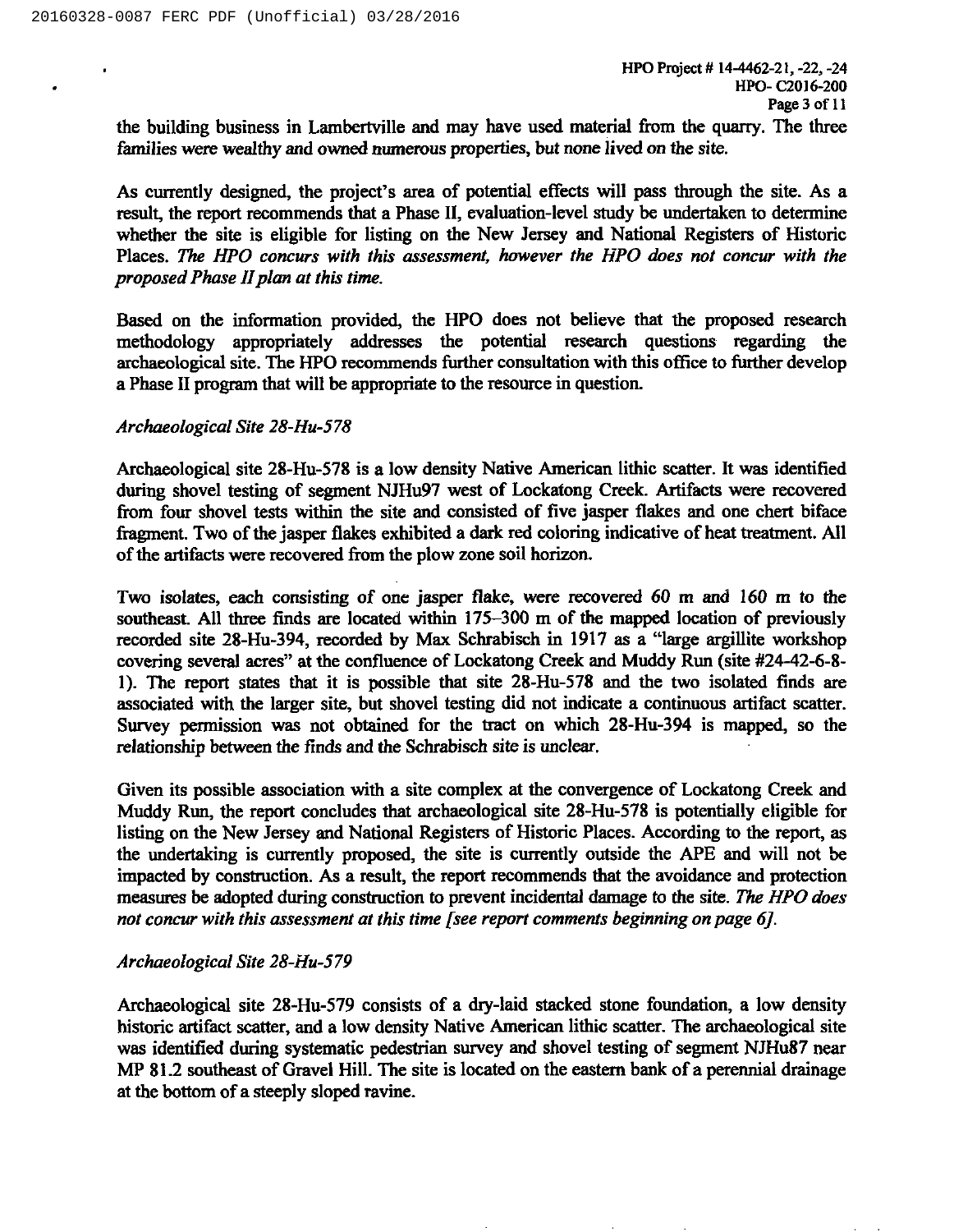the building business in Lambertville and may have used material from the quarry. The three families were wealthy and owned numerous properties, but none lived on the site.

As currently designed, the project's area of potential effects will pass through the site. As a result, the report recommends that a Phase II, evaluation-level study be undertaken to determine whether the site is eligible for listing on the New Jersey and National Registers of Historic Places. The HPO concurs with this assessment, however the HPO does not concur with the proposed Phase II plan at this time.

Based on the information provided, the HPO does not believe that the proposed research methodology appropriately addresses the potential research questions regarding the archaeological site. The HPO recommends further consultation with this office to further develop a Phase II program that will be appropriate to the resource in question.

# Archaeological Site 28-Hu-578

Archaeological site 28-Hu-578 is a low density Native American lithic scatter. It was identified during shovel testing of segment NJHu97 west of Lockatong Creek. Artifacts were recovered from four shovel tests within the site and consisted of five jasper flakes and one chert biface fragment. Two of the jasper flakes exhibited a dark red coloring indicative of heat treatment. All of the artifacts were recovered from the plow zone soil horizon.

Two isolates, each consisting of one jasper flake, were recovered 60 m and 160 m to the southeast. All three finds are located within 175—300 <sup>m</sup> of the mapped location of previously recorded site 28-Hu-394, recorded by Max Schrabisch in 1917 as a "large argillite workshop covering several acres" at the confluence of Lockatong Creek and Muddy Run (site #24-42-6-8-I). The report states that it is possible that site 28-Hu-578 and the two isolated finds are associated with the larger site, but shovel testing did not indicate a continuous artifact scatter. Survey permission was not obtained for the tract on which 28-Hu-394 is mapped, so the relationship between the finds and the Schrabisch site is unclear.

Given its possible association with a site complex at the convergence of Lockatong Creek and Muddy Run, the report concludes that archaeological site 28-Hu-578 is potentially eligible for listing on the New Jersey and National Registers of Historic Places. According to the report, as the undertaking is currently pmposed, the site is currently outside the APE and will not be impacted by construction. As a result, the report recommends that the avoidance and protection measures be adopted during construction to prevent incidental damage to the site. The HPO does not concur with this assessment at this time [see report comments beginning on page 6].

#### Archaeological Site 28-Hu-579

Archaeological site 28-Hu-579 consists of a dry-laid stacked stone foundation, a low density historic artifact scatter, and a low density Native American lithic scatter. The archaeological site was identified during systematic pedestrian survey and shovel testing of segment NJHu87 near MP 81.2 southeast of Gravel Hill. The site is located on the eastern bank of a perennial drainage at the bottom of a steeply sloped ravine.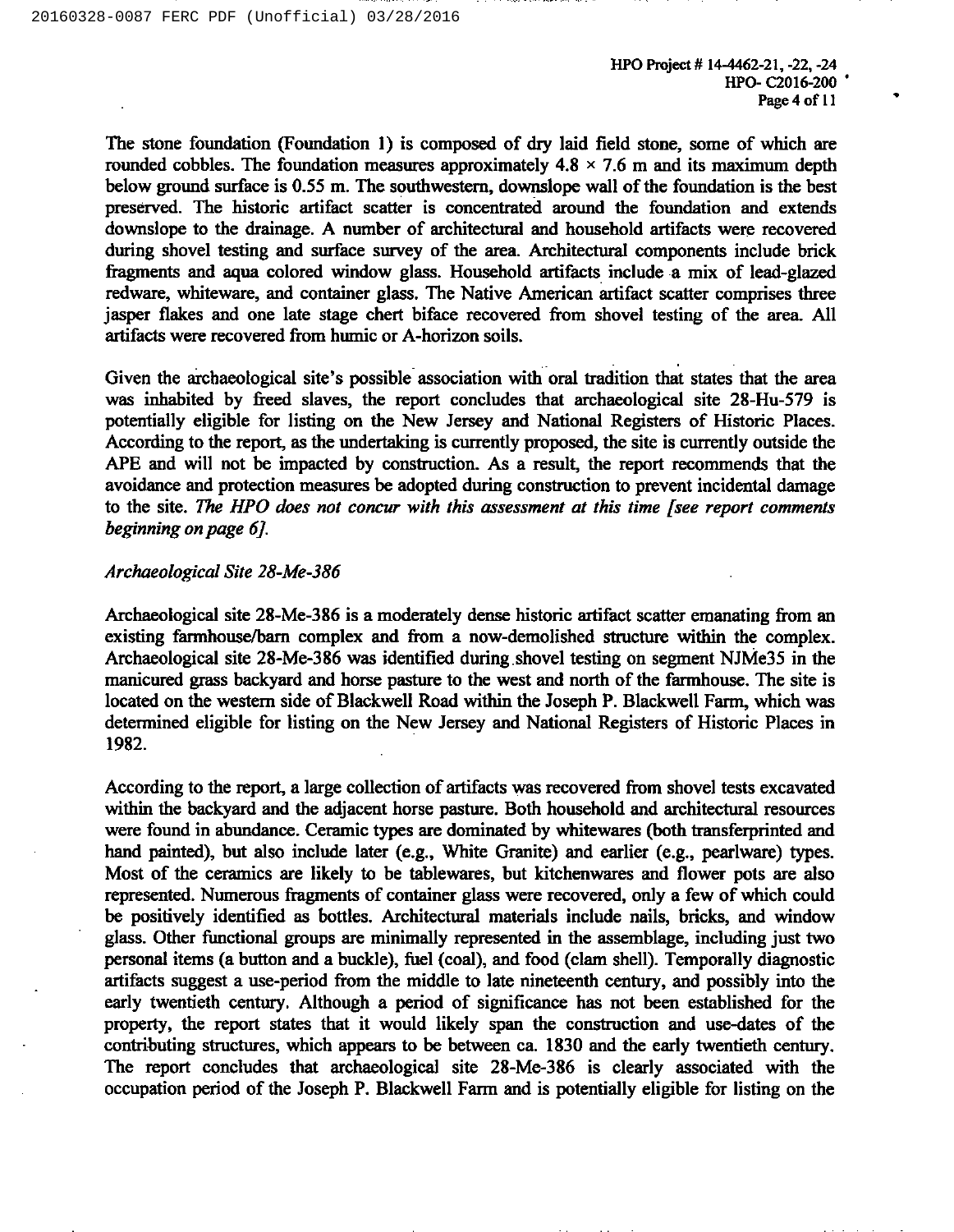HPO Project # 14-4462-21, -22, -24 HPO- C2016-200 Page 4 of 11

The stone foundation (Foundation 1) is composed of dry laid field stone, some of which are rounded cobbles. The foundation measures approximately  $4.8 \times 7.6$  m and its maximum depth below ground surface is 0.55 m. The southwestern, downslope wall of the foundation is the best preserved. The historic artifact scatter is concentrated around the foundation and extends downslope to the drainage. A number of architectural and household artifacts were recovered during shovel testing and surface survey of the area. Architectural components include brick fragments and aqua colored window glass. Household artifacts include a mix of lead-glazed redware, whiteware, and container glass. The Native American artifact scatter comprises three jasper flakes and one late stage chert biface recovered from shovel testing of the area. All artifacts were recovered from humic or A-horizon soils.

Given the archaeological site's possible association with oral tradition that states that the area was inhabited by freed slaves, the report concludes that archaeological site 28-Hu-579 is potentially eligible for listing on the New Jersey and National Registers of Historic Places. According to the report, as the undertaking is currently proposed, the site is currently outside the APE and will not be impacted by construction. As a result, the report recommends that the avoidance and protection measures be adopted during construction to prevent incidental damage to the site. The HPO does not concur with this assessment at this time [see report comments beginning on page 6J.

#### Archaeological Site 28-Me-386

Archaeological site 28-Me-386 is a moderately dense historic axtifact scatter emanating from an existing farmhouse/barn complex and from a now-demolished structure within the complex. Archaeological site 28-Me-386 was identified during shovel testing on segment NJMe35 in the manicured grass backyard and horse pasture to the west and north of the farmhouse. The site is located on the western side of Blackwell Road within the Joseph P. Blackwell Farm, which was determined eligible for listing on the New Jersey and National Registers of Historic Places in 1982.

According to the report, a large collection of artifacts was recovered from shovel tests excavated within the backyard and the adjacent horse pasture. Both household and architectural resources were found in abundance. Ceramic types are dominated by whitewares (both transferprinted and hand painted), but also include later (e.g., White Granite) and earlier (e.g., pearlware) types. Most of the ceramics are likely to be tablewares, but kitchenwares and flower pots are also represented. Numerous fragments of container glass were recovered, only a few of which could be positively identified as bottles. Architectural materials include nails, bricks, and window glass. Other functional groups are minimally represented in the assemblage, including just two personal items (a button and a buckle), fuel (coal), and food (clam shell). Temporally diagnostic artifacts suggest a use-period from the middle to late nineteenth century, and possibly into the early twentieth century. Although a period of significance has not been established for the property, the report states that it would likely span the construction and use-dates of the contributing structures, which appears to be between ca. 1830 and the early twentieth century. The report concludes that archaeological site 28-Me-386 is clearly associated with the occupation period of the Joseph P. Blackwell Farm and is potentially eligible for listing on the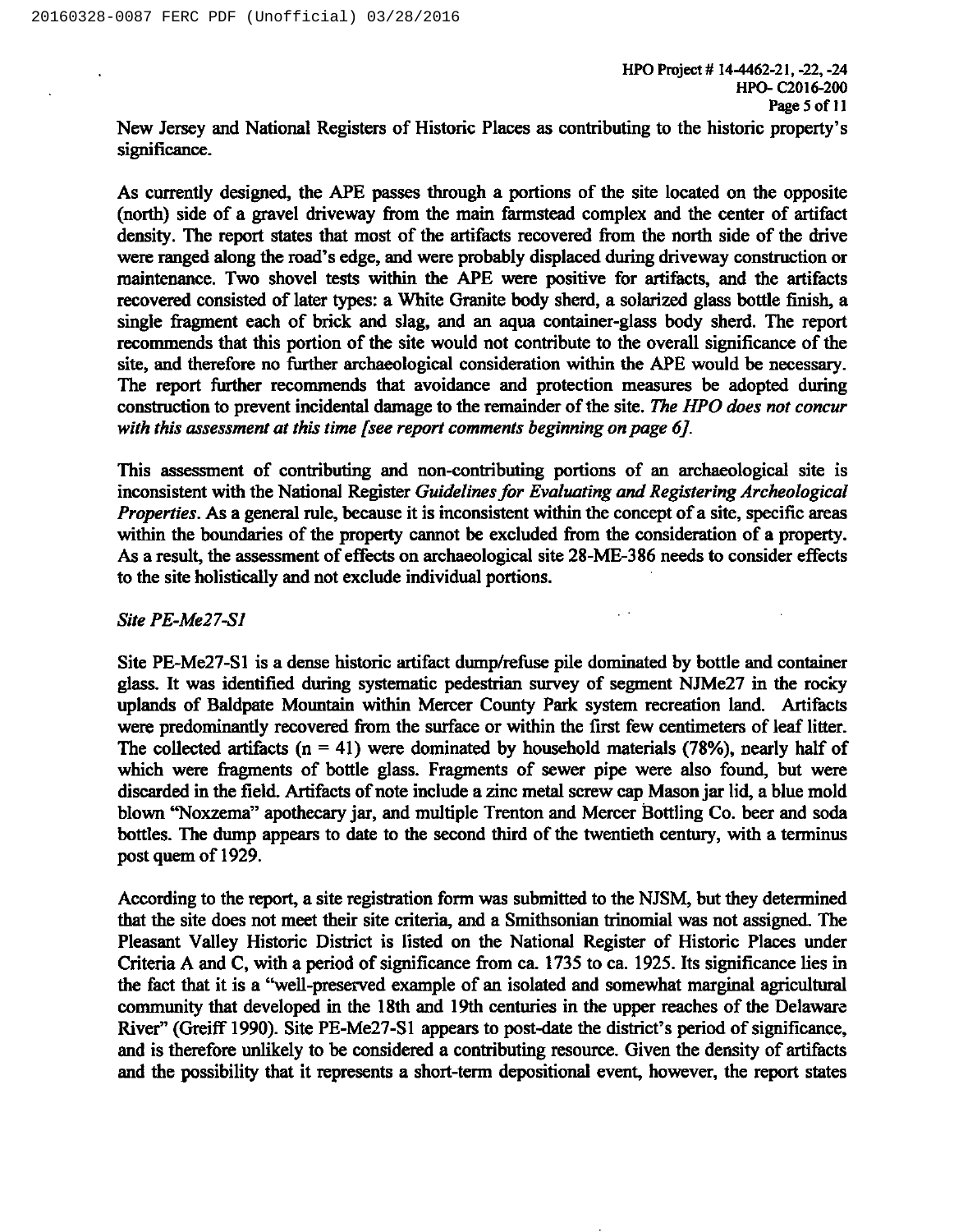New Jersey and National Registers of Historic Places as contributing to the historic property's significance.

As currently designed, the APE passes through a portions of the site located on the opposite (north) side of a gravel driveway from the main farmstead complex and the center of artifact density. The report states that most of the artifacts recovered from the north side of the drive were ranged along the road's edge, and were probably displaced during driveway construction or maintenance. Two shovel tests within the APE were positive for artifacts, and the artifacts recovered consisted of later types: a White Granite body sherd, a solarized glass bottle finish, a single fragment each of brick and slag, and an aqua container-glass body sherd. The report recommends that this portion of the site would not contribute to the overall significance of the site, and therefore no further archaeological consideration within the APE would be necessary. The report further recommends that avoidance and protection measures be adopted during construction to prevent incidental damage to the remainder of the site. The HPO does not concur with this assessment at this time [see report comments beginning on page 6].

This assessment of contributing and non-contributing portions of an archaeological site is inconsistent with the National Register Guidelines for Evaluating and Registering Archeological Properties. As a general rule, because it is inconsistent within the concept of a site, specific areas within the boundaries of the property cannot be excluded from the consideration of a property. As a result, the assessment of effects on archaeological site 28-ME-386 needs to consider effects to the site holistically and not exclude individual portions.

# Site PE-Me27-S1

Site PE-Me27-Sl is a dense historic artifact dump/refuse pile dominated by bottle and container glass. It was identified during systematic pedestrian survey of segment NJMe27 in the rocky uplands of Baldpate Mountain within Mercer County Park system recreation land. Artifacts were predominantly recovered from the surface or within the first few centimeters of leaf litter. The collected artifacts ( $n = 41$ ) were dominated by household materials (78%), nearly half of which were fragments of bottle glass. Fragments of sewer pipe were also found, but were discarded in the field. Artifacts of note include a zinc metal screw cap Mason jar lid, a blue mold blown "Noxzema" apothecary jar, and multiple Trenton and Mercer Bottling Co. beer and soda bottles. The dump appears to date to the second third of the twentieth century, with a terminus post quern of 1929.

According to the report, a site registration form was submitted to the NJSM, but they determined that the site does not meet their site criteria, and a Smithsonian trinomial was not assigned. The Pleasant Valley Historic District is listed on the National Register of Historic Places under Criteria A and C, with a period of significance from ca. 1735 to ca. 1925. Its significance lies in the fact that it is a "well-preserved example of an isolated and somewhat marginal agricultural community that developed in the 18th and 19th centuries in the upper reaches of the Delaware River" (Greiff 1990). Site PE-Me27-S1 appears to post-date the district's period of significance, and is therefore unlikely to be considered a contributing resource. Given the density of artifacts and the possibility that it represents a short-term depositional event, however, the report states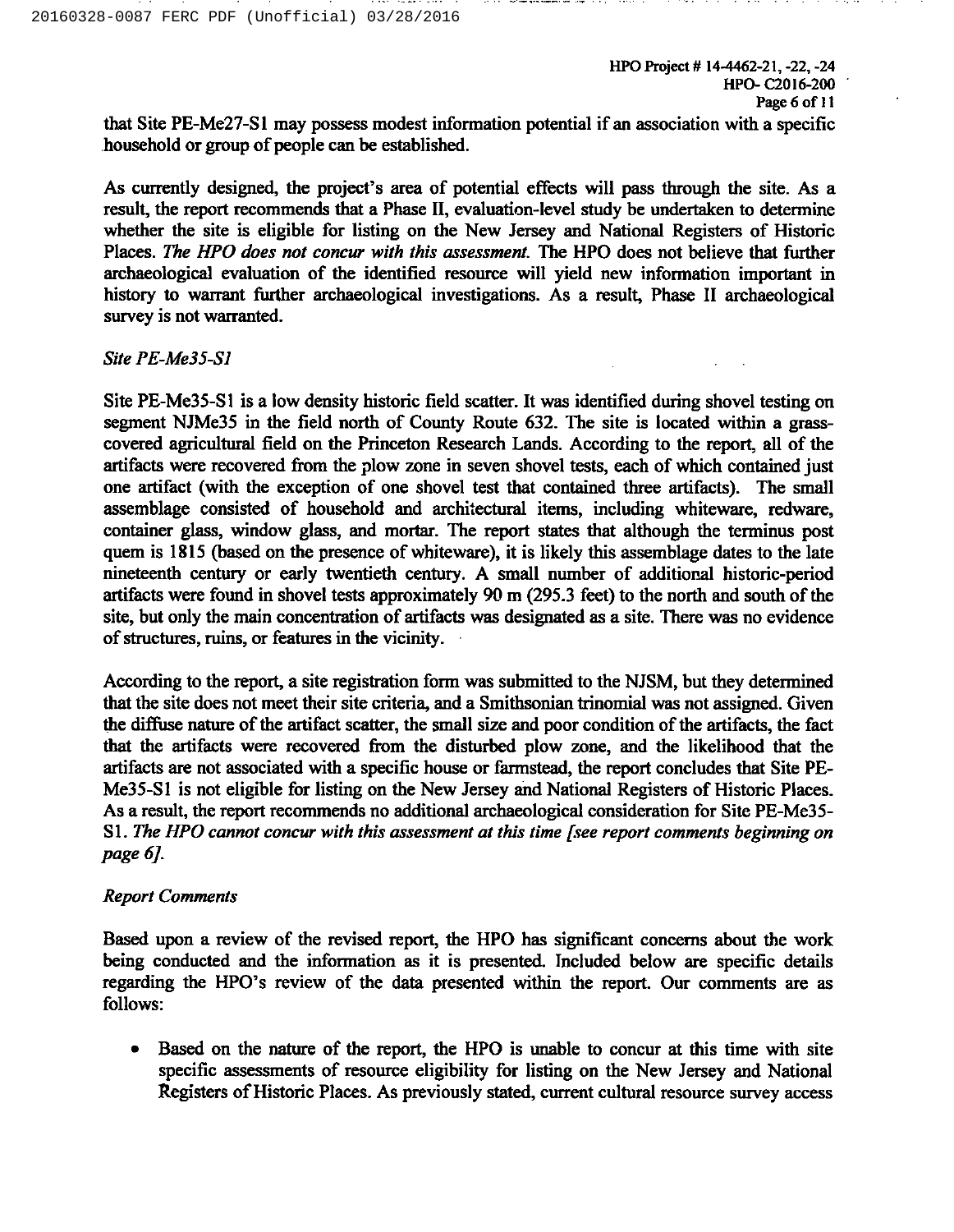that Site PE-Me27-S1 may possess modest information potential if an association with a specific household or group of people can be established.

and a second complete and complete the control of the con-

As currently designed, the project's area of potential effects will pass through the site. As a result, the report recommends that a Phase II, evaluation-level study be undertaken to determine whether the site is eligible for listing on the New Jersey and National Registers of Historic Places. The HPO does not concur with this assessment. The HPO does not believe that further archaeological evaluation of the identified resource will yield new information important in history to warrant further archaeological investigations. As a result, Phase II archaeological survey is not warranted.

Site PE-Me35-Sl

Site PE-Me35-S I is a low density historic field scatter. It was identified during shovel testing on segment NJMe35 in the field north of County Route 632. The site is located within a grasscovered agricultural field on the Princeton Research Lands. According to the report, all of the artifacts were recovered from the plow zone in seven shovel tests, each of which contained just one artifact (with the exception of one shovel test that contained three artifacts). The small assemblage consisted of household and archi:ectural items, including whiteware, redware, container glass, window glass, and mortar. The report states that although the terminus post quern is 1815 (based on the presence of whiteware), it is likely this assemblage dates to the late nineteenth century or early twentieth century. A small number of additional historic-period artifacts were found in shovel tests approximately 90 m (295.3 feet) to the north and south of the site, but only the main concentration of artifacts was designated as a site. There was no evidence of structures, ruins, or features in the vicinity.

According to the report, a site registration form was submitted to the NJSM, but they determined that the site does not meet their site criteria, and a Smithsonian trinomial was not assigned. Given the diffuse nature of the artifact scatter, the small size and poor condition of the artifacts, the fact that the artifacts were recovered from the disturbed plow zone, and the likelihood that the artifacts are not associated with a specific house or farmstead, the report concludes that Site PE-Me35-Sl is not eligible for listing on the New Jersey and National Registers of Historic Places. As a result, the report recommends no additional archaeological consideration for Site PE-Me35- S1. The HPO cannot concur with this assessment at this time fsee report comments beginning on page 6J.

# Report Comments

Based upon a review of the revised report, the HPO has significant concerns about the work being conducted and the information as it is presented. Included below are specific details regarding the HPO's review of the data presented within the report. Our comments are as follows:

<sup>~</sup> Based on the nature of the report, the HPO is unable to concur at this time with site specific assessments of resource eligibility for listing on the New Jersey and National Registers of Historic Places. As previously stated, current cultural resource survey access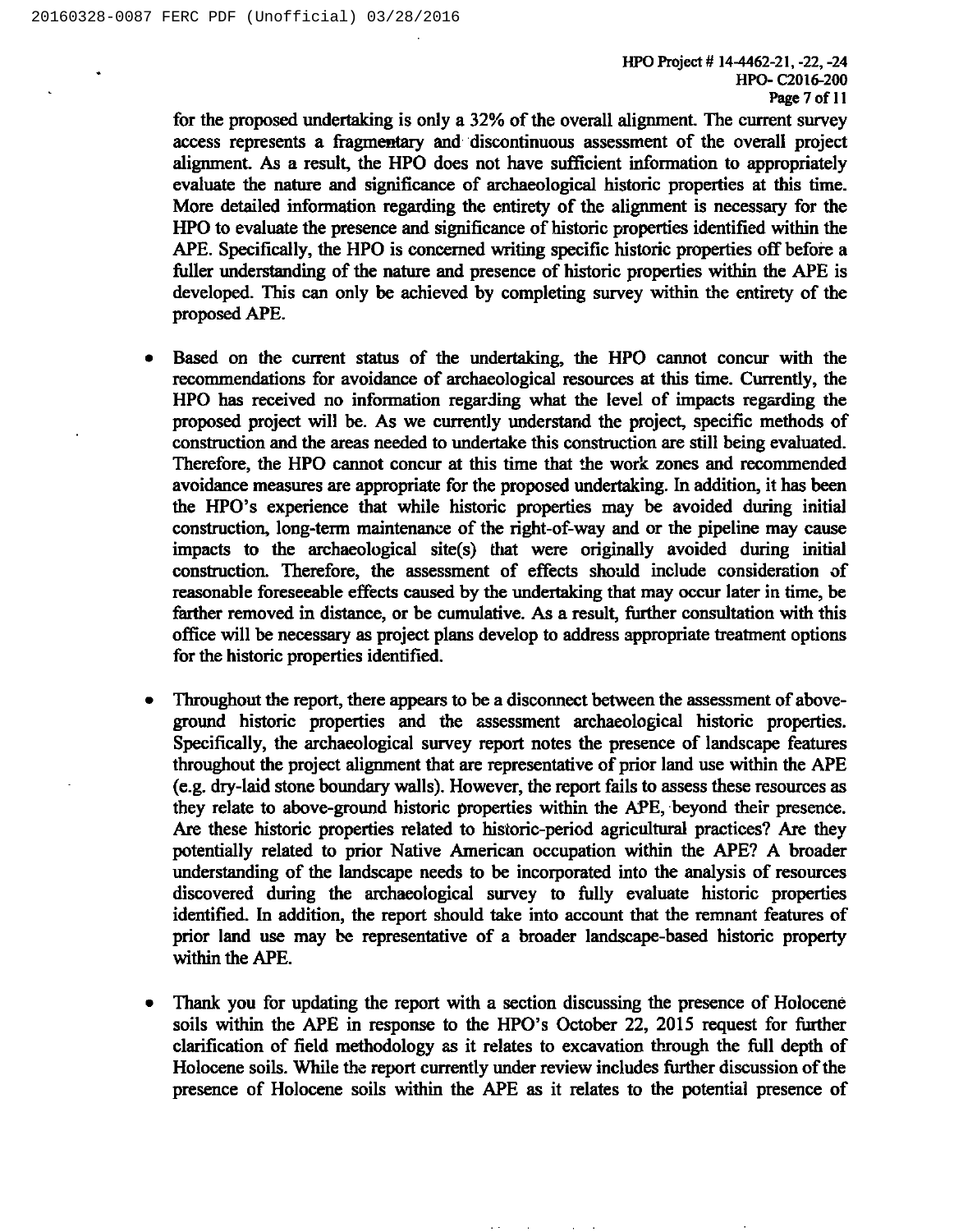for the proposed undertaking is only a 32% of the overall alignment. The current survey access represents a fragmentary and discontinuous assessment of the overall project alignment. As a result, the HPO does not have sufficient information to appropriately evaluate the nature and significance of archaeological historic properties at this time. More detailed information regarding the entirety of the alignment is necessary for the HPO to evaluate the presence and significance of historic properties identified within the APE. Specifically, the HPO is concerned writing specific historic properties off before a fuller understanding of the nature and presence of historic properties within the APE is developed. This can only be achieved by completing survey within the entirety of the proposed APE.

- Based on the current status of the undertaking, the HPO cannot concur with the recommendations for avoidance of archaeological resources at this time. Currently, the HPO has received no information regarding what the level of impacts regarding the proposed project will be. As we currently understand the project, specific methods of construction and the areas needed to undertake this construction are still being evaluated. Therefore, the HPO cannot concur at this time that the work zones and recommended avoidance measures are appropriate for the proposed undertaking. In addition, it has been the HPO's experience that while historic properties may be avoided during initial construction, long-term maintenance of the right-of-way and or the pipeline may cause impacts to the archaeological site(s) that were originally avoided during initial construction. Therefore, the assessment of effects should include consideration of reasonable foreseeable effects caused by the undertaking that may occur later in time, be farther removed in distance, or be cumulative. As a result, further consultation with this office will be necessary as project plans develop to address appropriate treatment options for the historic properties identified.
- ~ Throughout the report, there appears to be a disconnect between the assessment of aboveground historic properties and the assessment archaeological historic properties. Specifically, the archaeological survey report notes the presence of landscape features throughout the project alignment that are representative of prior land use within the APE (e.g. dry-laid stone boundary walls). However, the report fails to assess these resources as they relate to above-ground historic properties within the APE, beyond their presence. Are these historic properties related to historic-period agricultural practices? Are they potentially related to prior Native American occupation within the APE? A broader understanding of the landscape needs to be incorporated into the analysis of resources discovered during the archaeological survey to fully evaluate historic properties identified. In addition, the report should take into account that the remnant features of prior land use may be representative of a broader landscape-based historic property within the APE.
- Thank you for updating the report with a section discussing the presence of Holocene soils within the APE in response to the HPO's October 22, 2015 request for further clarification of field methodology as it relates to excavation through the full depth of Holocene soils. While the report currently under review includes further discussion of the presence of Holocene soils within the APE as it relates to the potential presence of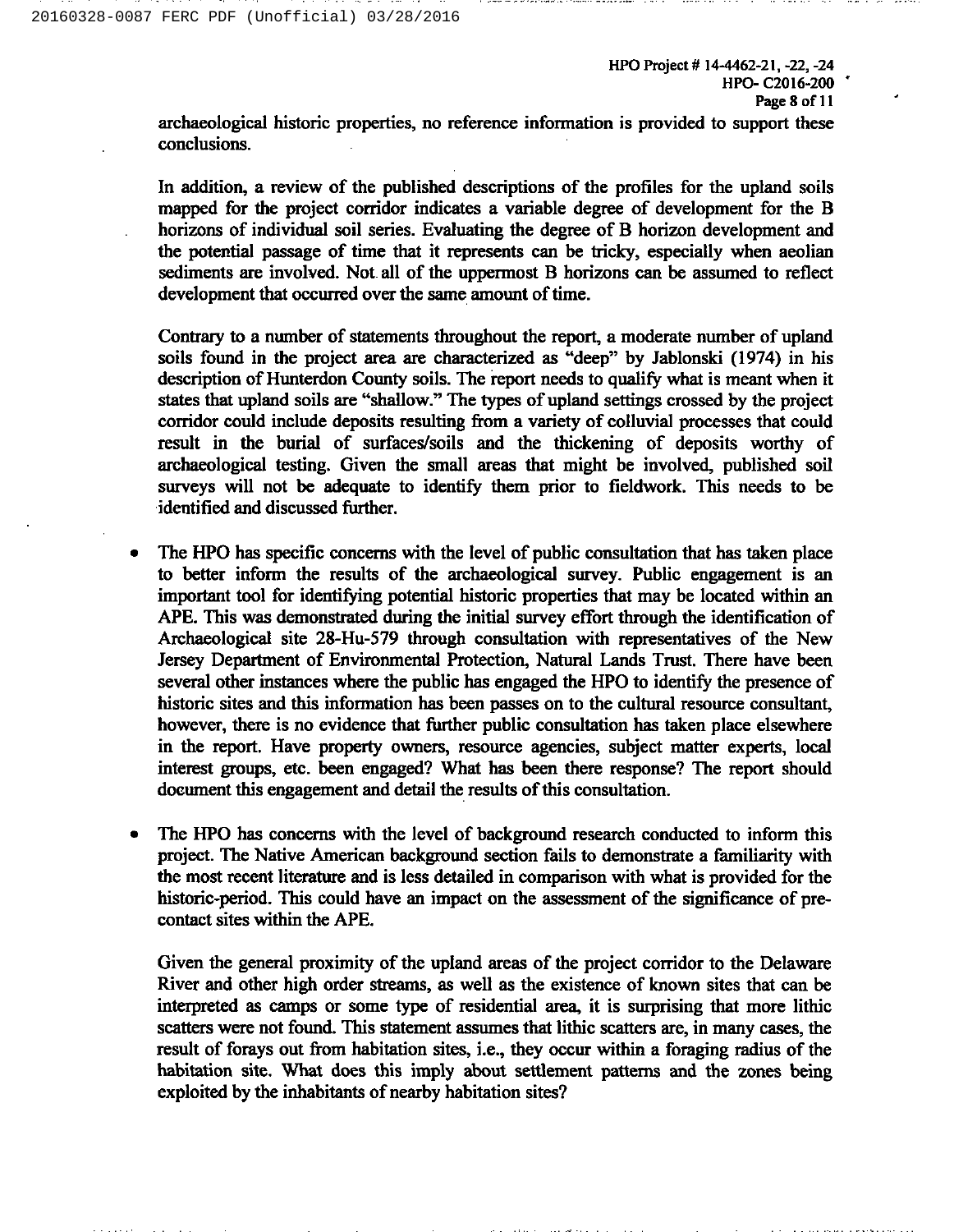HPO Project # 14-4462-21, -22, -24 HPO- C2016-200 Page 8 of 11

archaeological historic properties, no reference information is provided to support these conclusions.

In addition, a review of the published descriptions of the profiles for the upland soils mapped for the project corridor indicates a variable degree of development for the B horizons of individual soil series. Evaluating the degree of B horizon development and the potential passage of time that it represents can be tricky, especially when aeolian sediments are involved. Not. all of the uppermost B horizons can be assumed to reflect development that occurred over the same amount of time.

Contrary to a number of statements throughout the report, a moderate number of upland soils found in the project area are characterized as "deep" by Jablonski (1974) in his description of Hunterdon County soils. The report needs to qualify what is meant when it states that upland soils are "shallow." The types of upland settings crossed by the project corridor could include deposits resulting from a variety of colluvial processes that could result in the burial of surfaces/soils and the thickening of deposits worthy of archaeological testing. Given the small areas that might be involved, published soil surveys will not be adequate to identify them prior to fieldwork. This needs to be identified and discussed further.

- <sup>~</sup> The HPO has specific concerns with the level of public consultation that has taken place to better inform the results of the archaeological survey. Public engagement is an important tool for identifying potential historic properties that may be located within an APE. This was demonstrated during the initial survey effort through the identification of Archaeological site 2g-Hu-579 through consultation with representatives of the New Jersey Department of Environmental Protection, Natural Lands Trust. There have been several other instances where the public has engaged the HPO to identify the presence of historic sites and this information has been passes on to the cultural resource consultant, however, there is no evidence that further public consultation has taken place elsewhere in the report. Have property owners, resource agencies, subject matter experts, local interest groups, etc. been engaged? What has been there response? The report should document this engagement and detail the results of this consultation.
- The HPO has concerns with the level of background research conducted to inform this project. The Native American background section fails to demonstrate a familiarity with the most recent literature and is less detailed in comparison with what is provided for the historic-period. This could have an impact on the assessment of the significance of precontact sites within the APE.

Given the general proximity of the upland areas of the project corridor to the Delaware River and other high order streams, as well as the existence of known sites that can be interpreted as camps or some type of residential area, it is surprising that more lithic scatters were not found. This statement assumes that lithic scatters are, in many cases, the result of forays out from habitation sites, i.e., they occur within a foraging radius of the habitation site. What does this imply about settlement patterns and the zones being exploited by the inhabitants of nearby habitation sites?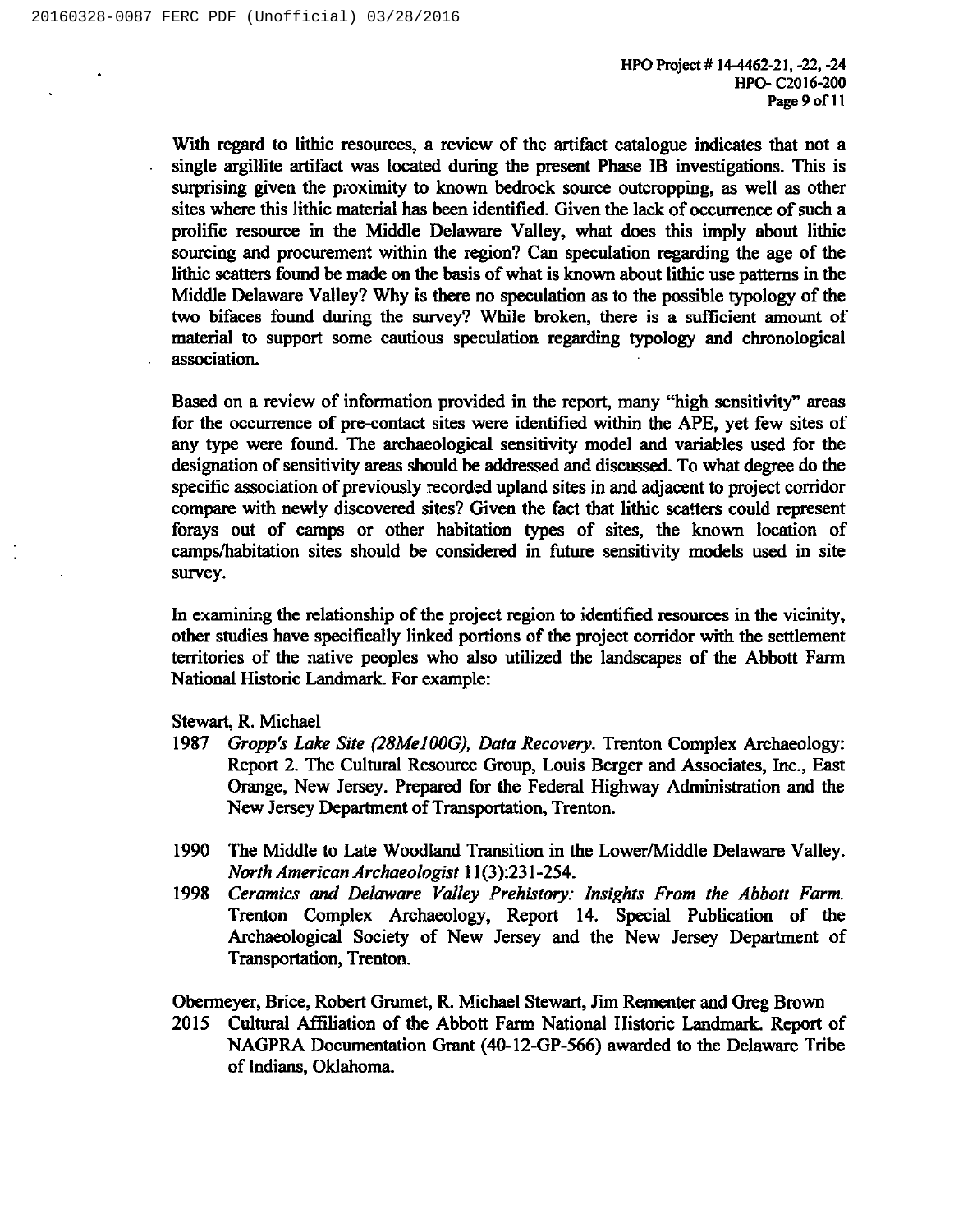With regard to lithic resources, a review of the artifact catalogue indicates that not a single argillite artifact was located during the present Phase IB investigations. This is surprising given the proximity to known bedrock source outcropping, as well as other sites where this lithic material has been identified. Given the lack of occurrence of such a prolific resource in the Middle Delaware Valley, what does this imply about lithic sourcing and procurement within the region? Can speculation regarding the age of the lithic scatters found be made on the basis of what is known about lithic use patterns in the Middle Delaware Valley? Why is there no speculation as to the possible typology of the two bifaces found during the survey? While broken, there is a sufficient amount of material to support some cautious speculation regarding typology and chronological association.

Based on a review of information provided in the report, many "high sensitivity" areas for the occurrence of pre-contact sites were identified within the APE, yet few sites of any type were found. The archaeological sensitivity model and variables used for the designation of sensitivity areas should be addressed and discussed. To what degree do the specific association of previously recorded upland sites in and adjacent to project corridor compare with newly discovered sites? Given the fact that lithic scatters could represent forays out of camps or other habitation types of sites, the known location of camps/habitation sites should be considered in future sensitivity models used in site survey.

In examining the relationship of the project region to identified resources in the vicinity, other studies have specifically linked portions of the project corridor with the settlement territories of the native peoples who also utilized the landscapes of the Abbott Farm National Historic Landmark. For example:

Stewart, R. Michael

- 1987 Gropp's Lake Site (28Me100G), Data Recovery. Trenton Complex Archaeology: Report 2. The Cultural Resource Group, Louis Berger and Associates, Inc., East Orange, New Jersey. Prepared for the Federal Highway Administration and the New Jersey Department of Transportation, Trenton.
- 1990 The Middle to Late Woodland Transition in the Lower/Middle Delaware Valley. North American Archaeologist 11(3):231-254.
- 1998 Ceramics and Delaware Valley Prehistory: Insights From the Abbott Farm. Trenton Complex Archaeology, Report 14. Special Publication of the Archaeological Society of New Jersey and the New Jersey Department of Transportation, Trenton.

Obermeyer, Brice, Robert Grumet, R. Michael Stewart, Jim Rementer and Greg Brown

2015 Cultural Affiliation of the Abbott Farm National Historic Landmark. Report of NAGPRA Documentation Grant (40-12-GP-566) awarded to the Delaware Tribe of Indians, Oklahoma.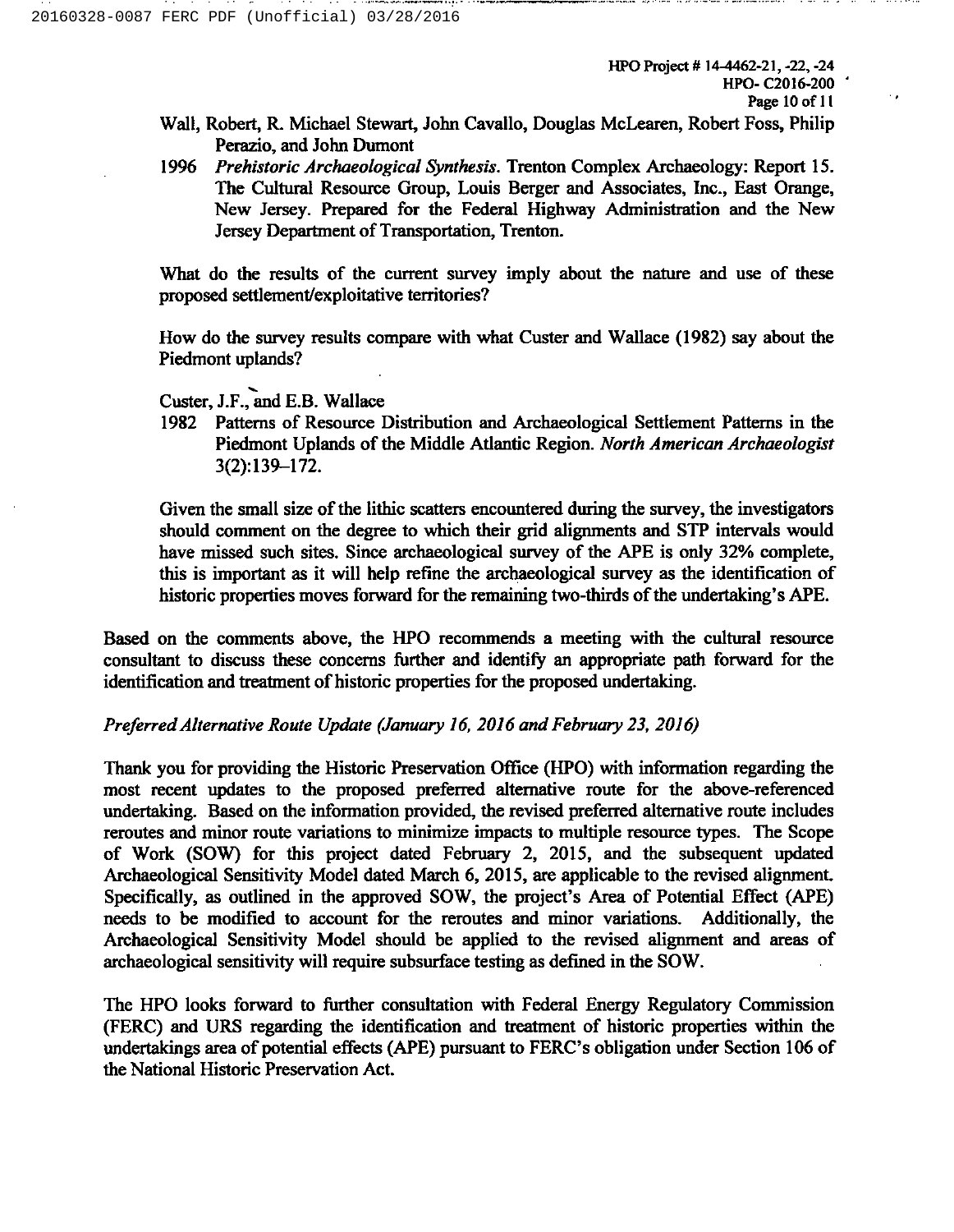- Wall, Robert, R. Michael Stewart, John Cavallo, Douglas McLearen, Robert Foss, Philip Perazio, and John Dumont
- 1996 Prehistoric Archaeological Synthesis. Trenton Complex Archaeology: Report 15. The Cultural Resource Group, Louis Berger and Associates, Inc., East Orange, New Jersey. Prepared for the Federal Highway Administration and the New Jersey Department of Transportation, Trenton.

What do the results of the current survey imply about the nature and use of these proposed settlement/exploitative territories?

How do the survey results compare with what Custer and Wallace (1982) say about the Piedmont uplands?

Custer, J.F.,and E.B.Wallace

1982 Patterns of Resource Distribution and Archaeological Settlement Patterns in the Piedmont Uplands of the Middle Atlantic Region. North American Archaeologist 3(2):139—I72.

Given the small size of the lithic scatters encountered during the survey, the investigators should comment on the degree to which their grid alignments and STP intervals would have missed such sites. Since archaeological survey of the APE is only 32% complete, this is important as it will help refine the archaeological survey as the identification of historic properties moves forward for the remaining two-thirds ofthe undertaking's APE.

Based on the comments above, the HPO recommends a meeting with the cultural resource consultant to discuss these concerns further and identify an appropriate path forward for the identification and treatment of historic properties for the proposed undertaking.

# Preferred Alternative Route Update (January 16, 2016 and February 23, 2016)

Thank you for providing the Historic Preservation Office (HPO) with information regarding the most recent updates to the proposed preferred alternative route for the above-referenced undertaking. Based on the information provided, the revised preferred alternative route includes reroutes and minor route variations to minimize impacts to multiple resource types. The Scope of Work (SOW) for this project dated February 2, 2015, and the subsequent updated Archaeological Sensitivity Model dated March 6, 2015, are applicable to the revised alignment. Specifically, as outlined in the approved SOW, the project's Area of Potential Effect (APE) needs to be modified to account for the reroutes and minor variations. Additionally, the Archaeological Sensitivity Model should be applied to the revised alignment and areas of archaeological sensitivity will require subsurface testing as defined in the SOW.

The HPO looks forward to further consultation with Federal Energy Regulatory Commission (FERC) and URS regarding the identification and treatment of historic properties within the undertakings area of potential effects (APE) pursuant to FERC's obligation under Section 106 of the National Historic Preservation Act.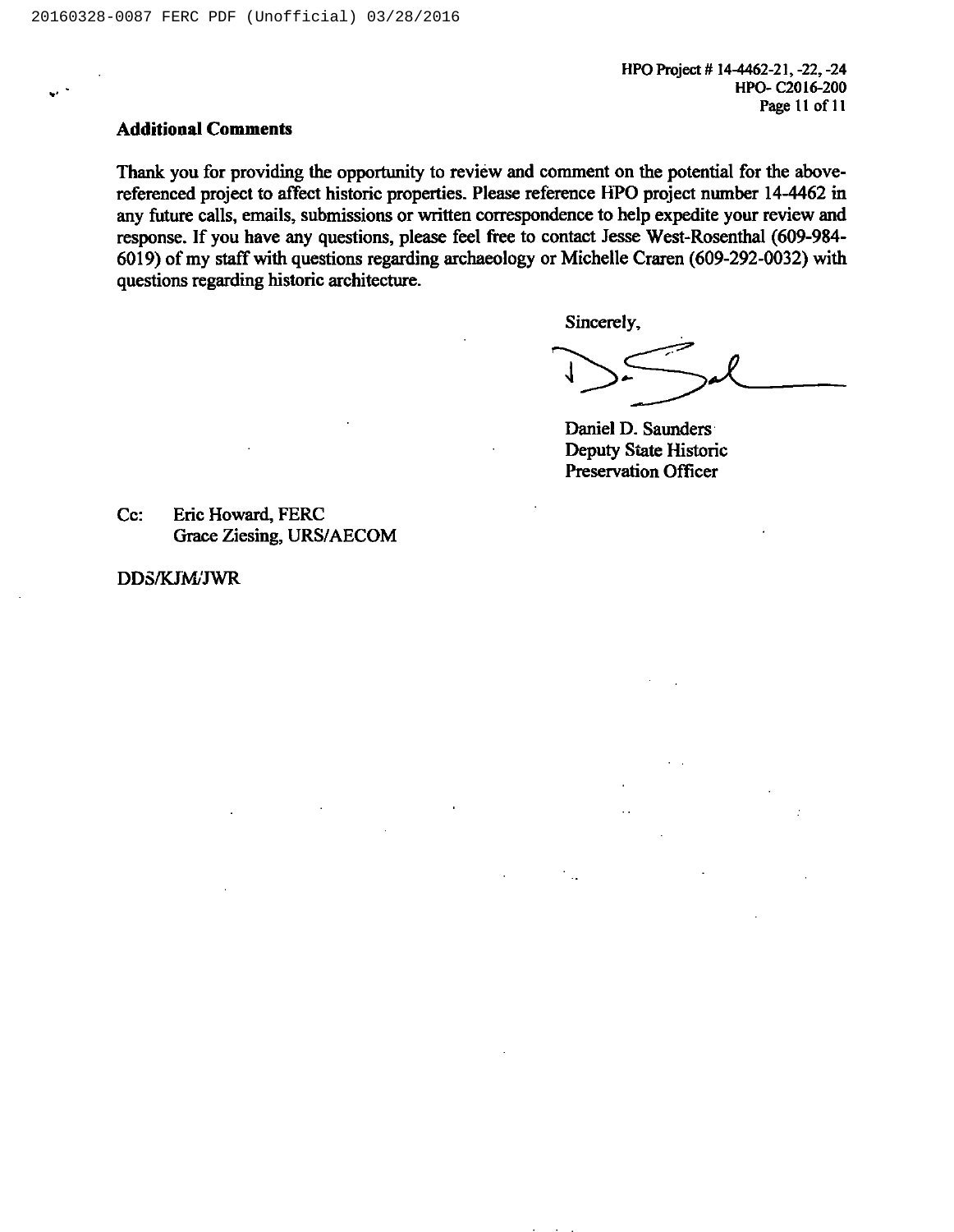HPO Project # 14-4462-21, -22, -24 HPO- C2016-200 Page 11 of 11

### Additional Comments

Thank you for providing the opportunity to review and comment on the potential for the abovereferenced project to atfect historic properties. Please reference HPO project number 14-4462 in any future calls, emails, submissions or written correspondence to help expedite your review and response. If you have any questions, please feel free to contact Jesse West-Rosenthal (609-984- 6019) of my staff with questions regarding archaeology or Michelle Craren (609-292-0032) with questions regarding historic architecture.

Sincerely,

Daniel D. Saunders Deputy State Historic Preservation Officer

Cc: Eric Howard, FERC Grace Ziesing, URS/AECOM

DDS/KJM/JWR